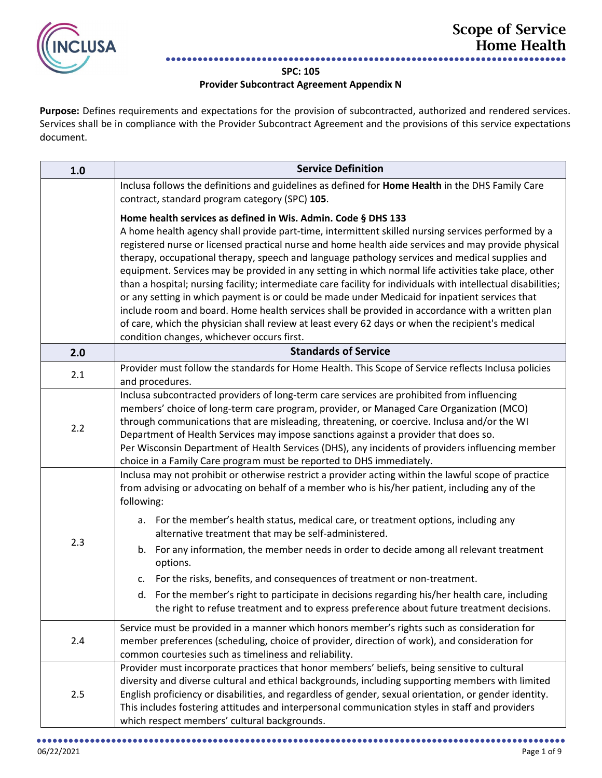

## **SPC: 105**

## **Provider Subcontract Agreement Appendix N**

**Purpose:** Defines requirements and expectations for the provision of subcontracted, authorized and rendered services. Services shall be in compliance with the Provider Subcontract Agreement and the provisions of this service expectations document.

| 1.0 | <b>Service Definition</b>                                                                                                                                                                                                                                                                                                                                                                                                                                                                                                                                                                                                                                                                                                                                                                                                                                                                                                                                     |
|-----|---------------------------------------------------------------------------------------------------------------------------------------------------------------------------------------------------------------------------------------------------------------------------------------------------------------------------------------------------------------------------------------------------------------------------------------------------------------------------------------------------------------------------------------------------------------------------------------------------------------------------------------------------------------------------------------------------------------------------------------------------------------------------------------------------------------------------------------------------------------------------------------------------------------------------------------------------------------|
|     | Inclusa follows the definitions and guidelines as defined for Home Health in the DHS Family Care<br>contract, standard program category (SPC) 105.                                                                                                                                                                                                                                                                                                                                                                                                                                                                                                                                                                                                                                                                                                                                                                                                            |
|     | Home health services as defined in Wis. Admin. Code § DHS 133<br>A home health agency shall provide part-time, intermittent skilled nursing services performed by a<br>registered nurse or licensed practical nurse and home health aide services and may provide physical<br>therapy, occupational therapy, speech and language pathology services and medical supplies and<br>equipment. Services may be provided in any setting in which normal life activities take place, other<br>than a hospital; nursing facility; intermediate care facility for individuals with intellectual disabilities;<br>or any setting in which payment is or could be made under Medicaid for inpatient services that<br>include room and board. Home health services shall be provided in accordance with a written plan<br>of care, which the physician shall review at least every 62 days or when the recipient's medical<br>condition changes, whichever occurs first. |
| 2.0 | <b>Standards of Service</b>                                                                                                                                                                                                                                                                                                                                                                                                                                                                                                                                                                                                                                                                                                                                                                                                                                                                                                                                   |
| 2.1 | Provider must follow the standards for Home Health. This Scope of Service reflects Inclusa policies<br>and procedures.                                                                                                                                                                                                                                                                                                                                                                                                                                                                                                                                                                                                                                                                                                                                                                                                                                        |
| 2.2 | Inclusa subcontracted providers of long-term care services are prohibited from influencing<br>members' choice of long-term care program, provider, or Managed Care Organization (MCO)<br>through communications that are misleading, threatening, or coercive. Inclusa and/or the WI<br>Department of Health Services may impose sanctions against a provider that does so.<br>Per Wisconsin Department of Health Services (DHS), any incidents of providers influencing member<br>choice in a Family Care program must be reported to DHS immediately.                                                                                                                                                                                                                                                                                                                                                                                                       |
| 2.3 | Inclusa may not prohibit or otherwise restrict a provider acting within the lawful scope of practice<br>from advising or advocating on behalf of a member who is his/her patient, including any of the<br>following:<br>a. For the member's health status, medical care, or treatment options, including any<br>alternative treatment that may be self-administered.<br>b. For any information, the member needs in order to decide among all relevant treatment<br>options.                                                                                                                                                                                                                                                                                                                                                                                                                                                                                  |
|     | For the risks, benefits, and consequences of treatment or non-treatment.<br>c.<br>d. For the member's right to participate in decisions regarding his/her health care, including<br>the right to refuse treatment and to express preference about future treatment decisions.                                                                                                                                                                                                                                                                                                                                                                                                                                                                                                                                                                                                                                                                                 |
| 2.4 | Service must be provided in a manner which honors member's rights such as consideration for<br>member preferences (scheduling, choice of provider, direction of work), and consideration for<br>common courtesies such as timeliness and reliability.                                                                                                                                                                                                                                                                                                                                                                                                                                                                                                                                                                                                                                                                                                         |
| 2.5 | Provider must incorporate practices that honor members' beliefs, being sensitive to cultural<br>diversity and diverse cultural and ethical backgrounds, including supporting members with limited<br>English proficiency or disabilities, and regardless of gender, sexual orientation, or gender identity.<br>This includes fostering attitudes and interpersonal communication styles in staff and providers<br>which respect members' cultural backgrounds.                                                                                                                                                                                                                                                                                                                                                                                                                                                                                                |

●●●●●●●●●●●●●●●●●●●●●●●●●●●●●●●●●●●●●●●●●●●●●●●●●●●●●●●●●●●●●●●●●●●●●●●●●●●●●●●●●●●●●●●●●●●●●●●●●●●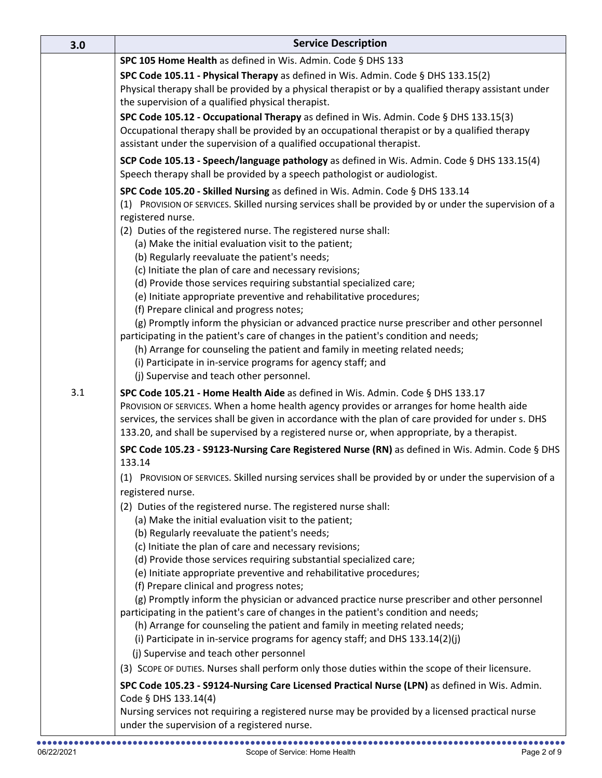| 3.0 | <b>Service Description</b>                                                                                                                                                                                                                                                                                                                                                         |  |  |  |
|-----|------------------------------------------------------------------------------------------------------------------------------------------------------------------------------------------------------------------------------------------------------------------------------------------------------------------------------------------------------------------------------------|--|--|--|
|     | SPC 105 Home Health as defined in Wis. Admin. Code § DHS 133                                                                                                                                                                                                                                                                                                                       |  |  |  |
|     | SPC Code 105.11 - Physical Therapy as defined in Wis. Admin. Code § DHS 133.15(2)<br>Physical therapy shall be provided by a physical therapist or by a qualified therapy assistant under<br>the supervision of a qualified physical therapist.                                                                                                                                    |  |  |  |
|     | SPC Code 105.12 - Occupational Therapy as defined in Wis. Admin. Code § DHS 133.15(3)<br>Occupational therapy shall be provided by an occupational therapist or by a qualified therapy<br>assistant under the supervision of a qualified occupational therapist.                                                                                                                   |  |  |  |
|     | SCP Code 105.13 - Speech/language pathology as defined in Wis. Admin. Code § DHS 133.15(4)<br>Speech therapy shall be provided by a speech pathologist or audiologist.                                                                                                                                                                                                             |  |  |  |
|     | SPC Code 105.20 - Skilled Nursing as defined in Wis. Admin. Code § DHS 133.14<br>(1) PROVISION OF SERVICES. Skilled nursing services shall be provided by or under the supervision of a<br>registered nurse.                                                                                                                                                                       |  |  |  |
|     | (2) Duties of the registered nurse. The registered nurse shall:<br>(a) Make the initial evaluation visit to the patient;                                                                                                                                                                                                                                                           |  |  |  |
|     | (b) Regularly reevaluate the patient's needs;<br>(c) Initiate the plan of care and necessary revisions;                                                                                                                                                                                                                                                                            |  |  |  |
|     | (d) Provide those services requiring substantial specialized care;                                                                                                                                                                                                                                                                                                                 |  |  |  |
|     | (e) Initiate appropriate preventive and rehabilitative procedures;                                                                                                                                                                                                                                                                                                                 |  |  |  |
|     | (f) Prepare clinical and progress notes;<br>(g) Promptly inform the physician or advanced practice nurse prescriber and other personnel                                                                                                                                                                                                                                            |  |  |  |
|     | participating in the patient's care of changes in the patient's condition and needs;                                                                                                                                                                                                                                                                                               |  |  |  |
|     | (h) Arrange for counseling the patient and family in meeting related needs;<br>(i) Participate in in-service programs for agency staff; and                                                                                                                                                                                                                                        |  |  |  |
|     | (j) Supervise and teach other personnel.                                                                                                                                                                                                                                                                                                                                           |  |  |  |
| 3.1 | SPC Code 105.21 - Home Health Aide as defined in Wis. Admin. Code § DHS 133.17<br>PROVISION OF SERVICES. When a home health agency provides or arranges for home health aide<br>services, the services shall be given in accordance with the plan of care provided for under s. DHS<br>133.20, and shall be supervised by a registered nurse or, when appropriate, by a therapist. |  |  |  |
|     | SPC Code 105.23 - S9123-Nursing Care Registered Nurse (RN) as defined in Wis. Admin. Code § DHS<br>133.14                                                                                                                                                                                                                                                                          |  |  |  |
|     | (1) PROVISION OF SERVICES. Skilled nursing services shall be provided by or under the supervision of a<br>registered nurse.                                                                                                                                                                                                                                                        |  |  |  |
|     | (2) Duties of the registered nurse. The registered nurse shall:                                                                                                                                                                                                                                                                                                                    |  |  |  |
|     | (a) Make the initial evaluation visit to the patient;                                                                                                                                                                                                                                                                                                                              |  |  |  |
|     | (b) Regularly reevaluate the patient's needs;<br>(c) Initiate the plan of care and necessary revisions;                                                                                                                                                                                                                                                                            |  |  |  |
|     | (d) Provide those services requiring substantial specialized care;                                                                                                                                                                                                                                                                                                                 |  |  |  |
|     | (e) Initiate appropriate preventive and rehabilitative procedures;                                                                                                                                                                                                                                                                                                                 |  |  |  |
|     | (f) Prepare clinical and progress notes;<br>(g) Promptly inform the physician or advanced practice nurse prescriber and other personnel                                                                                                                                                                                                                                            |  |  |  |
|     | participating in the patient's care of changes in the patient's condition and needs;                                                                                                                                                                                                                                                                                               |  |  |  |
|     | (h) Arrange for counseling the patient and family in meeting related needs;                                                                                                                                                                                                                                                                                                        |  |  |  |
|     | (i) Participate in in-service programs for agency staff; and DHS 133.14(2)(j)                                                                                                                                                                                                                                                                                                      |  |  |  |
|     | (j) Supervise and teach other personnel<br>(3) SCOPE OF DUTIES. Nurses shall perform only those duties within the scope of their licensure.                                                                                                                                                                                                                                        |  |  |  |
|     | SPC Code 105.23 - S9124-Nursing Care Licensed Practical Nurse (LPN) as defined in Wis. Admin.                                                                                                                                                                                                                                                                                      |  |  |  |
|     | Code § DHS 133.14(4)                                                                                                                                                                                                                                                                                                                                                               |  |  |  |
|     | Nursing services not requiring a registered nurse may be provided by a licensed practical nurse<br>under the supervision of a registered nurse.                                                                                                                                                                                                                                    |  |  |  |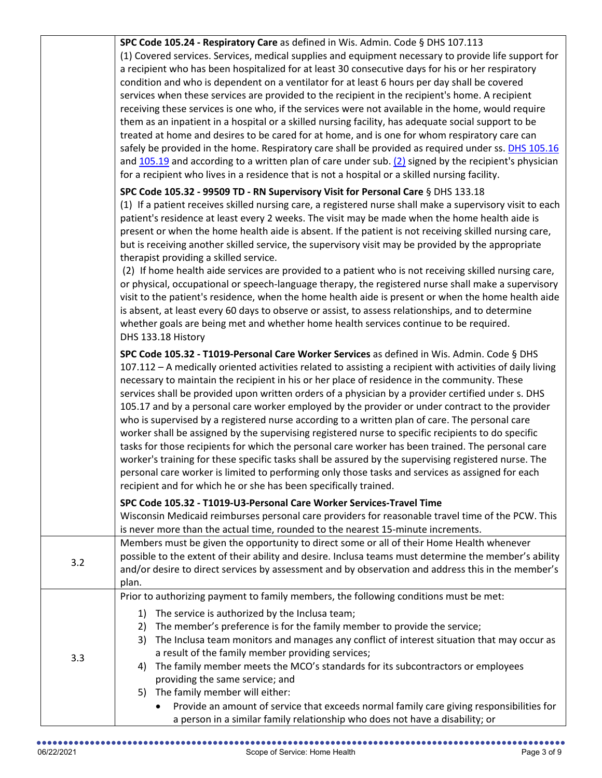|     | (1) Covered services. Services, medical supplies and equipment necessary to provide life support for<br>a recipient who has been hospitalized for at least 30 consecutive days for his or her respiratory<br>condition and who is dependent on a ventilator for at least 6 hours per day shall be covered<br>services when these services are provided to the recipient in the recipient's home. A recipient<br>receiving these services is one who, if the services were not available in the home, would require<br>them as an inpatient in a hospital or a skilled nursing facility, has adequate social support to be<br>treated at home and desires to be cared for at home, and is one for whom respiratory care can<br>safely be provided in the home. Respiratory care shall be provided as required under ss. DHS 105.16<br>and $105.19$ and according to a written plan of care under sub. $(2)$ signed by the recipient's physician<br>for a recipient who lives in a residence that is not a hospital or a skilled nursing facility.                                                               |
|-----|----------------------------------------------------------------------------------------------------------------------------------------------------------------------------------------------------------------------------------------------------------------------------------------------------------------------------------------------------------------------------------------------------------------------------------------------------------------------------------------------------------------------------------------------------------------------------------------------------------------------------------------------------------------------------------------------------------------------------------------------------------------------------------------------------------------------------------------------------------------------------------------------------------------------------------------------------------------------------------------------------------------------------------------------------------------------------------------------------------------|
|     | SPC Code 105.32 - 99509 TD - RN Supervisory Visit for Personal Care § DHS 133.18<br>(1) If a patient receives skilled nursing care, a registered nurse shall make a supervisory visit to each<br>patient's residence at least every 2 weeks. The visit may be made when the home health aide is<br>present or when the home health aide is absent. If the patient is not receiving skilled nursing care,<br>but is receiving another skilled service, the supervisory visit may be provided by the appropriate<br>therapist providing a skilled service.<br>(2) If home health aide services are provided to a patient who is not receiving skilled nursing care,<br>or physical, occupational or speech-language therapy, the registered nurse shall make a supervisory<br>visit to the patient's residence, when the home health aide is present or when the home health aide<br>is absent, at least every 60 days to observe or assist, to assess relationships, and to determine<br>whether goals are being met and whether home health services continue to be required.<br>DHS 133.18 History            |
|     | SPC Code 105.32 - T1019-Personal Care Worker Services as defined in Wis. Admin. Code § DHS<br>107.112 - A medically oriented activities related to assisting a recipient with activities of daily living<br>necessary to maintain the recipient in his or her place of residence in the community. These<br>services shall be provided upon written orders of a physician by a provider certified under s. DHS<br>105.17 and by a personal care worker employed by the provider or under contract to the provider<br>who is supervised by a registered nurse according to a written plan of care. The personal care<br>worker shall be assigned by the supervising registered nurse to specific recipients to do specific<br>tasks for those recipients for which the personal care worker has been trained. The personal care<br>worker's training for these specific tasks shall be assured by the supervising registered nurse. The<br>personal care worker is limited to performing only those tasks and services as assigned for each<br>recipient and for which he or she has been specifically trained. |
|     | SPC Code 105.32 - T1019-U3-Personal Care Worker Services-Travel Time<br>Wisconsin Medicaid reimburses personal care providers for reasonable travel time of the PCW. This<br>is never more than the actual time, rounded to the nearest 15-minute increments.                                                                                                                                                                                                                                                                                                                                                                                                                                                                                                                                                                                                                                                                                                                                                                                                                                                  |
| 3.2 | Members must be given the opportunity to direct some or all of their Home Health whenever<br>possible to the extent of their ability and desire. Inclusa teams must determine the member's ability<br>and/or desire to direct services by assessment and by observation and address this in the member's<br>plan.                                                                                                                                                                                                                                                                                                                                                                                                                                                                                                                                                                                                                                                                                                                                                                                              |
| 3.3 | Prior to authorizing payment to family members, the following conditions must be met:<br>The service is authorized by the Inclusa team;<br>1)<br>The member's preference is for the family member to provide the service;<br>2)<br>The Inclusa team monitors and manages any conflict of interest situation that may occur as<br>3)<br>a result of the family member providing services;<br>The family member meets the MCO's standards for its subcontractors or employees<br>4)<br>providing the same service; and<br>5) The family member will either:<br>Provide an amount of service that exceeds normal family care giving responsibilities for                                                                                                                                                                                                                                                                                                                                                                                                                                                          |
|     | a person in a similar family relationship who does not have a disability; or                                                                                                                                                                                                                                                                                                                                                                                                                                                                                                                                                                                                                                                                                                                                                                                                                                                                                                                                                                                                                                   |

**SPC Code 105.24 - Respiratory Care** as defined in Wis. Admin. Code § DHS 107.113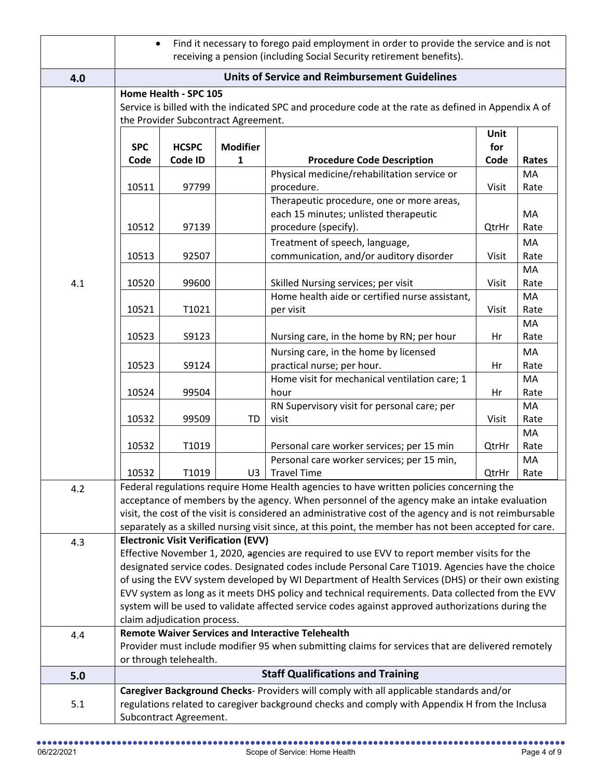|     | $\bullet$  |                                                              |                 | Find it necessary to forego paid employment in order to provide the service and is not                                                                        |             |       |
|-----|------------|--------------------------------------------------------------|-----------------|---------------------------------------------------------------------------------------------------------------------------------------------------------------|-------------|-------|
|     |            |                                                              |                 | receiving a pension (including Social Security retirement benefits).                                                                                          |             |       |
| 4.0 |            | <b>Units of Service and Reimbursement Guidelines</b>         |                 |                                                                                                                                                               |             |       |
|     |            | Home Health - SPC 105<br>the Provider Subcontract Agreement. |                 | Service is billed with the indicated SPC and procedure code at the rate as defined in Appendix A of                                                           |             |       |
|     | <b>SPC</b> | <b>HCSPC</b>                                                 | <b>Modifier</b> |                                                                                                                                                               | Unit<br>for |       |
|     | Code       | Code ID                                                      | 1               | <b>Procedure Code Description</b>                                                                                                                             | Code        | Rates |
|     |            |                                                              |                 | Physical medicine/rehabilitation service or                                                                                                                   |             | MA    |
|     | 10511      | 97799                                                        |                 | procedure.<br>Therapeutic procedure, one or more areas,                                                                                                       | Visit       | Rate  |
|     |            |                                                              |                 | each 15 minutes; unlisted therapeutic                                                                                                                         |             | MA    |
|     | 10512      | 97139                                                        |                 | procedure (specify).                                                                                                                                          | QtrHr       | Rate  |
|     |            |                                                              |                 | Treatment of speech, language,                                                                                                                                |             | MA    |
|     | 10513      | 92507                                                        |                 | communication, and/or auditory disorder                                                                                                                       | Visit       | Rate  |
|     |            |                                                              |                 |                                                                                                                                                               |             | MA    |
| 4.1 | 10520      | 99600                                                        |                 | Skilled Nursing services; per visit                                                                                                                           | Visit       | Rate  |
|     |            |                                                              |                 | Home health aide or certified nurse assistant,                                                                                                                |             | MA    |
|     | 10521      | T1021                                                        |                 | per visit                                                                                                                                                     | Visit       | Rate  |
|     |            |                                                              |                 |                                                                                                                                                               |             | MA    |
|     | 10523      | S9123                                                        |                 | Nursing care, in the home by RN; per hour                                                                                                                     | Hr          | Rate  |
|     |            |                                                              |                 | Nursing care, in the home by licensed                                                                                                                         |             | MA    |
|     | 10523      | S9124                                                        |                 | practical nurse; per hour.                                                                                                                                    | Hr          | Rate  |
|     |            |                                                              |                 | Home visit for mechanical ventilation care; 1                                                                                                                 |             | MA    |
|     | 10524      | 99504                                                        |                 | hour                                                                                                                                                          | Hr          | Rate  |
|     |            |                                                              |                 | RN Supervisory visit for personal care; per                                                                                                                   |             | MA    |
|     | 10532      | 99509                                                        | TD              | visit                                                                                                                                                         | Visit       | Rate  |
|     |            |                                                              |                 |                                                                                                                                                               |             | MA    |
|     | 10532      | T1019                                                        |                 | Personal care worker services; per 15 min                                                                                                                     | QtrHr       | Rate  |
|     | 10532      | T1019                                                        | U3              | Personal care worker services; per 15 min,<br><b>Travel Time</b>                                                                                              | QtrHr       | MA    |
| 4.2 |            |                                                              |                 | Federal regulations require Home Health agencies to have written policies concerning the                                                                      |             | Rate  |
|     |            |                                                              |                 | acceptance of members by the agency. When personnel of the agency make an intake evaluation                                                                   |             |       |
|     |            |                                                              |                 | visit, the cost of the visit is considered an administrative cost of the agency and is not reimbursable                                                       |             |       |
|     |            |                                                              |                 | separately as a skilled nursing visit since, at this point, the member has not been accepted for care.                                                        |             |       |
| 4.3 |            | <b>Electronic Visit Verification (EVV)</b>                   |                 |                                                                                                                                                               |             |       |
|     |            |                                                              |                 | Effective November 1, 2020, agencies are required to use EVV to report member visits for the                                                                  |             |       |
|     |            |                                                              |                 | designated service codes. Designated codes include Personal Care T1019. Agencies have the choice                                                              |             |       |
|     |            |                                                              |                 | of using the EVV system developed by WI Department of Health Services (DHS) or their own existing                                                             |             |       |
|     |            |                                                              |                 | EVV system as long as it meets DHS policy and technical requirements. Data collected from the EVV                                                             |             |       |
|     |            |                                                              |                 | system will be used to validate affected service codes against approved authorizations during the                                                             |             |       |
|     |            | claim adjudication process.                                  |                 |                                                                                                                                                               |             |       |
| 4.4 |            |                                                              |                 | <b>Remote Waiver Services and Interactive Telehealth</b><br>Provider must include modifier 95 when submitting claims for services that are delivered remotely |             |       |
|     |            | or through telehealth.                                       |                 |                                                                                                                                                               |             |       |
| 5.0 |            |                                                              |                 | <b>Staff Qualifications and Training</b>                                                                                                                      |             |       |
|     |            |                                                              |                 | Caregiver Background Checks- Providers will comply with all applicable standards and/or                                                                       |             |       |
| 5.1 |            |                                                              |                 | regulations related to caregiver background checks and comply with Appendix H from the Inclusa                                                                |             |       |
|     |            | Subcontract Agreement.                                       |                 |                                                                                                                                                               |             |       |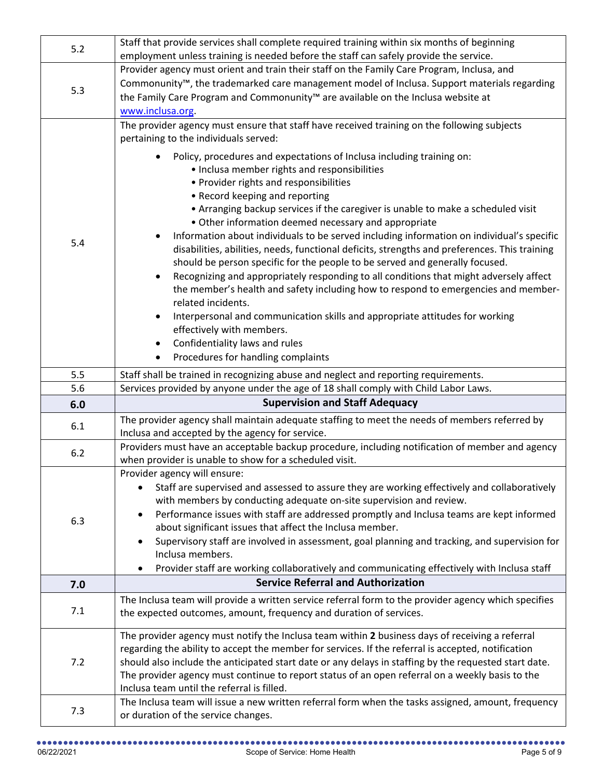| 5.2 | Staff that provide services shall complete required training within six months of beginning                                                                                                              |
|-----|----------------------------------------------------------------------------------------------------------------------------------------------------------------------------------------------------------|
|     | employment unless training is needed before the staff can safely provide the service.                                                                                                                    |
| 5.3 | Provider agency must orient and train their staff on the Family Care Program, Inclusa, and                                                                                                               |
|     | Commonunity <sup>™</sup> , the trademarked care management model of Inclusa. Support materials regarding                                                                                                 |
|     | the Family Care Program and Commonunity™ are available on the Inclusa website at                                                                                                                         |
|     | www.inclusa.org.                                                                                                                                                                                         |
|     | The provider agency must ensure that staff have received training on the following subjects                                                                                                              |
|     | pertaining to the individuals served:                                                                                                                                                                    |
|     | Policy, procedures and expectations of Inclusa including training on:                                                                                                                                    |
|     | • Inclusa member rights and responsibilities                                                                                                                                                             |
|     | • Provider rights and responsibilities                                                                                                                                                                   |
|     | • Record keeping and reporting                                                                                                                                                                           |
|     | • Arranging backup services if the caregiver is unable to make a scheduled visit<br>• Other information deemed necessary and appropriate                                                                 |
|     | Information about individuals to be served including information on individual's specific                                                                                                                |
| 5.4 | disabilities, abilities, needs, functional deficits, strengths and preferences. This training                                                                                                            |
|     | should be person specific for the people to be served and generally focused.                                                                                                                             |
|     | Recognizing and appropriately responding to all conditions that might adversely affect                                                                                                                   |
|     | the member's health and safety including how to respond to emergencies and member-                                                                                                                       |
|     | related incidents.                                                                                                                                                                                       |
|     | Interpersonal and communication skills and appropriate attitudes for working                                                                                                                             |
|     | effectively with members.                                                                                                                                                                                |
|     | Confidentiality laws and rules                                                                                                                                                                           |
|     | Procedures for handling complaints                                                                                                                                                                       |
| 5.5 | Staff shall be trained in recognizing abuse and neglect and reporting requirements.                                                                                                                      |
|     |                                                                                                                                                                                                          |
| 5.6 | Services provided by anyone under the age of 18 shall comply with Child Labor Laws.                                                                                                                      |
| 6.0 | <b>Supervision and Staff Adequacy</b>                                                                                                                                                                    |
|     | The provider agency shall maintain adequate staffing to meet the needs of members referred by                                                                                                            |
| 6.1 | Inclusa and accepted by the agency for service.                                                                                                                                                          |
| 6.2 | Providers must have an acceptable backup procedure, including notification of member and agency                                                                                                          |
|     | when provider is unable to show for a scheduled visit.                                                                                                                                                   |
|     | Provider agency will ensure:                                                                                                                                                                             |
|     | Staff are supervised and assessed to assure they are working effectively and collaboratively                                                                                                             |
|     | with members by conducting adequate on-site supervision and review.                                                                                                                                      |
| 6.3 | Performance issues with staff are addressed promptly and Inclusa teams are kept informed                                                                                                                 |
|     | about significant issues that affect the Inclusa member.<br>Supervisory staff are involved in assessment, goal planning and tracking, and supervision for<br>٠                                           |
|     | Inclusa members.                                                                                                                                                                                         |
|     | Provider staff are working collaboratively and communicating effectively with Inclusa staff                                                                                                              |
| 7.0 | <b>Service Referral and Authorization</b>                                                                                                                                                                |
|     | The Inclusa team will provide a written service referral form to the provider agency which specifies                                                                                                     |
| 7.1 | the expected outcomes, amount, frequency and duration of services.                                                                                                                                       |
|     |                                                                                                                                                                                                          |
|     | The provider agency must notify the Inclusa team within 2 business days of receiving a referral                                                                                                          |
| 7.2 | regarding the ability to accept the member for services. If the referral is accepted, notification                                                                                                       |
|     | should also include the anticipated start date or any delays in staffing by the requested start date.<br>The provider agency must continue to report status of an open referral on a weekly basis to the |
|     | Inclusa team until the referral is filled.                                                                                                                                                               |
| 7.3 | The Inclusa team will issue a new written referral form when the tasks assigned, amount, frequency<br>or duration of the service changes.                                                                |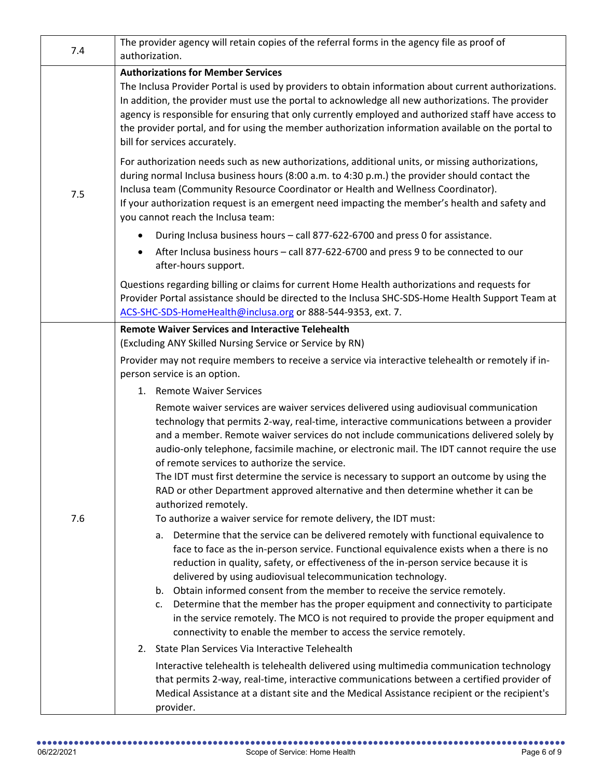| 7.4 | The provider agency will retain copies of the referral forms in the agency file as proof of<br>authorization.                                                                                                                                                                                                                                                                                                                                                                                                                                                                                                                                                                            |
|-----|------------------------------------------------------------------------------------------------------------------------------------------------------------------------------------------------------------------------------------------------------------------------------------------------------------------------------------------------------------------------------------------------------------------------------------------------------------------------------------------------------------------------------------------------------------------------------------------------------------------------------------------------------------------------------------------|
| 7.5 | <b>Authorizations for Member Services</b><br>The Inclusa Provider Portal is used by providers to obtain information about current authorizations.<br>In addition, the provider must use the portal to acknowledge all new authorizations. The provider<br>agency is responsible for ensuring that only currently employed and authorized staff have access to<br>the provider portal, and for using the member authorization information available on the portal to<br>bill for services accurately.                                                                                                                                                                                     |
|     | For authorization needs such as new authorizations, additional units, or missing authorizations,<br>during normal Inclusa business hours (8:00 a.m. to 4:30 p.m.) the provider should contact the<br>Inclusa team (Community Resource Coordinator or Health and Wellness Coordinator).<br>If your authorization request is an emergent need impacting the member's health and safety and<br>you cannot reach the Inclusa team:                                                                                                                                                                                                                                                           |
|     | During Inclusa business hours - call 877-622-6700 and press 0 for assistance.<br>$\bullet$                                                                                                                                                                                                                                                                                                                                                                                                                                                                                                                                                                                               |
|     | After Inclusa business hours - call 877-622-6700 and press 9 to be connected to our<br>٠<br>after-hours support.                                                                                                                                                                                                                                                                                                                                                                                                                                                                                                                                                                         |
|     | Questions regarding billing or claims for current Home Health authorizations and requests for<br>Provider Portal assistance should be directed to the Inclusa SHC-SDS-Home Health Support Team at<br>ACS-SHC-SDS-HomeHealth@inclusa.org or 888-544-9353, ext. 7.                                                                                                                                                                                                                                                                                                                                                                                                                         |
|     | <b>Remote Waiver Services and Interactive Telehealth</b><br>(Excluding ANY Skilled Nursing Service or Service by RN)<br>Provider may not require members to receive a service via interactive telehealth or remotely if in-<br>person service is an option.                                                                                                                                                                                                                                                                                                                                                                                                                              |
|     | 1. Remote Waiver Services                                                                                                                                                                                                                                                                                                                                                                                                                                                                                                                                                                                                                                                                |
| 7.6 | Remote waiver services are waiver services delivered using audiovisual communication<br>technology that permits 2-way, real-time, interactive communications between a provider<br>and a member. Remote waiver services do not include communications delivered solely by<br>audio-only telephone, facsimile machine, or electronic mail. The IDT cannot require the use<br>of remote services to authorize the service.<br>The IDT must first determine the service is necessary to support an outcome by using the<br>RAD or other Department approved alternative and then determine whether it can be                                                                                |
|     | authorized remotely.                                                                                                                                                                                                                                                                                                                                                                                                                                                                                                                                                                                                                                                                     |
|     | To authorize a waiver service for remote delivery, the IDT must:                                                                                                                                                                                                                                                                                                                                                                                                                                                                                                                                                                                                                         |
|     | Determine that the service can be delivered remotely with functional equivalence to<br>а.<br>face to face as the in-person service. Functional equivalence exists when a there is no<br>reduction in quality, safety, or effectiveness of the in-person service because it is<br>delivered by using audiovisual telecommunication technology.<br>Obtain informed consent from the member to receive the service remotely.<br>b.<br>Determine that the member has the proper equipment and connectivity to participate<br>c.<br>in the service remotely. The MCO is not required to provide the proper equipment and<br>connectivity to enable the member to access the service remotely. |
|     | State Plan Services Via Interactive Telehealth<br>2.                                                                                                                                                                                                                                                                                                                                                                                                                                                                                                                                                                                                                                     |
|     | Interactive telehealth is telehealth delivered using multimedia communication technology<br>that permits 2-way, real-time, interactive communications between a certified provider of<br>Medical Assistance at a distant site and the Medical Assistance recipient or the recipient's<br>provider.                                                                                                                                                                                                                                                                                                                                                                                       |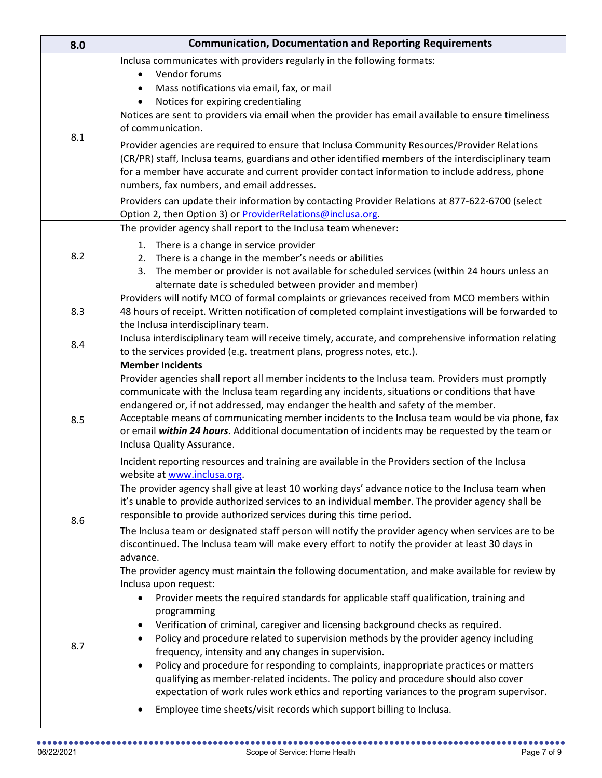| 8.0 | <b>Communication, Documentation and Reporting Requirements</b>                                                                                                                                                                                                                                                                                                                                                                                                                                                                                                                                                                                                                                                                                                                                                           |  |  |  |
|-----|--------------------------------------------------------------------------------------------------------------------------------------------------------------------------------------------------------------------------------------------------------------------------------------------------------------------------------------------------------------------------------------------------------------------------------------------------------------------------------------------------------------------------------------------------------------------------------------------------------------------------------------------------------------------------------------------------------------------------------------------------------------------------------------------------------------------------|--|--|--|
| 8.1 | Inclusa communicates with providers regularly in the following formats:<br>Vendor forums<br>$\bullet$<br>Mass notifications via email, fax, or mail<br>Notices for expiring credentialing<br>Notices are sent to providers via email when the provider has email available to ensure timeliness<br>of communication.                                                                                                                                                                                                                                                                                                                                                                                                                                                                                                     |  |  |  |
|     | Provider agencies are required to ensure that Inclusa Community Resources/Provider Relations<br>(CR/PR) staff, Inclusa teams, guardians and other identified members of the interdisciplinary team<br>for a member have accurate and current provider contact information to include address, phone<br>numbers, fax numbers, and email addresses.<br>Providers can update their information by contacting Provider Relations at 877-622-6700 (select                                                                                                                                                                                                                                                                                                                                                                     |  |  |  |
|     | Option 2, then Option 3) or <b>ProviderRelations@inclusa.org</b> .                                                                                                                                                                                                                                                                                                                                                                                                                                                                                                                                                                                                                                                                                                                                                       |  |  |  |
| 8.2 | The provider agency shall report to the Inclusa team whenever:<br>1. There is a change in service provider<br>2. There is a change in the member's needs or abilities<br>3. The member or provider is not available for scheduled services (within 24 hours unless an<br>alternate date is scheduled between provider and member)                                                                                                                                                                                                                                                                                                                                                                                                                                                                                        |  |  |  |
| 8.3 | Providers will notify MCO of formal complaints or grievances received from MCO members within<br>48 hours of receipt. Written notification of completed complaint investigations will be forwarded to<br>the Inclusa interdisciplinary team.                                                                                                                                                                                                                                                                                                                                                                                                                                                                                                                                                                             |  |  |  |
| 8.4 | Inclusa interdisciplinary team will receive timely, accurate, and comprehensive information relating<br>to the services provided (e.g. treatment plans, progress notes, etc.).                                                                                                                                                                                                                                                                                                                                                                                                                                                                                                                                                                                                                                           |  |  |  |
| 8.5 | <b>Member Incidents</b><br>Provider agencies shall report all member incidents to the Inclusa team. Providers must promptly<br>communicate with the Inclusa team regarding any incidents, situations or conditions that have<br>endangered or, if not addressed, may endanger the health and safety of the member.<br>Acceptable means of communicating member incidents to the Inclusa team would be via phone, fax<br>or email within 24 hours. Additional documentation of incidents may be requested by the team or<br>Inclusa Quality Assurance.<br>Incident reporting resources and training are available in the Providers section of the Inclusa<br>website at www.inclusa.org.                                                                                                                                  |  |  |  |
| 8.6 | The provider agency shall give at least 10 working days' advance notice to the Inclusa team when<br>it's unable to provide authorized services to an individual member. The provider agency shall be<br>responsible to provide authorized services during this time period.<br>The Inclusa team or designated staff person will notify the provider agency when services are to be<br>discontinued. The Inclusa team will make every effort to notify the provider at least 30 days in<br>advance.                                                                                                                                                                                                                                                                                                                       |  |  |  |
| 8.7 | The provider agency must maintain the following documentation, and make available for review by<br>Inclusa upon request:<br>Provider meets the required standards for applicable staff qualification, training and<br>programming<br>Verification of criminal, caregiver and licensing background checks as required.<br>Policy and procedure related to supervision methods by the provider agency including<br>frequency, intensity and any changes in supervision.<br>Policy and procedure for responding to complaints, inappropriate practices or matters<br>qualifying as member-related incidents. The policy and procedure should also cover<br>expectation of work rules work ethics and reporting variances to the program supervisor.<br>Employee time sheets/visit records which support billing to Inclusa. |  |  |  |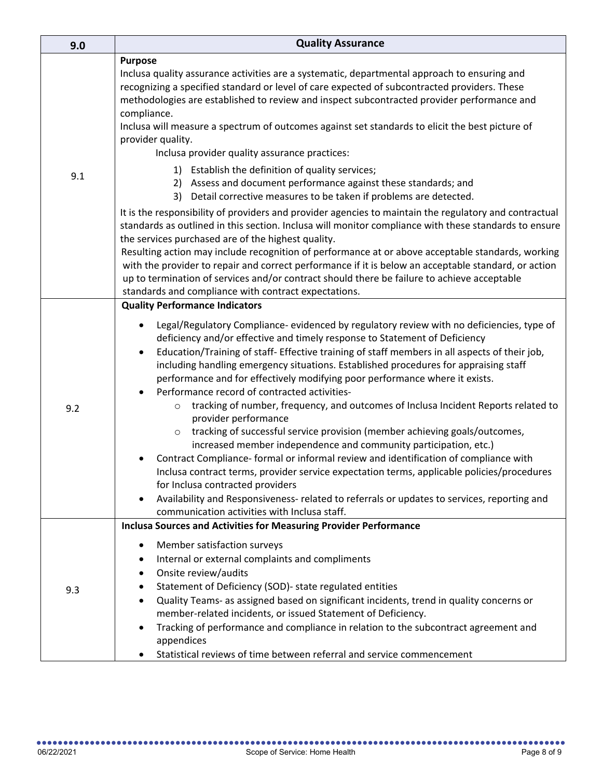| 9.0 | <b>Quality Assurance</b>                                                                                                                                                                                                                                                                                                                                                                                                                                                                                                                                                                                                                                                                                                                                                                                                                                                                                                                                                                                                                                                                                                                                                                                                  |  |  |  |
|-----|---------------------------------------------------------------------------------------------------------------------------------------------------------------------------------------------------------------------------------------------------------------------------------------------------------------------------------------------------------------------------------------------------------------------------------------------------------------------------------------------------------------------------------------------------------------------------------------------------------------------------------------------------------------------------------------------------------------------------------------------------------------------------------------------------------------------------------------------------------------------------------------------------------------------------------------------------------------------------------------------------------------------------------------------------------------------------------------------------------------------------------------------------------------------------------------------------------------------------|--|--|--|
| 9.1 | <b>Purpose</b><br>Inclusa quality assurance activities are a systematic, departmental approach to ensuring and<br>recognizing a specified standard or level of care expected of subcontracted providers. These<br>methodologies are established to review and inspect subcontracted provider performance and<br>compliance.<br>Inclusa will measure a spectrum of outcomes against set standards to elicit the best picture of<br>provider quality.<br>Inclusa provider quality assurance practices:                                                                                                                                                                                                                                                                                                                                                                                                                                                                                                                                                                                                                                                                                                                      |  |  |  |
|     | 1) Establish the definition of quality services;<br>2) Assess and document performance against these standards; and<br>3) Detail corrective measures to be taken if problems are detected.                                                                                                                                                                                                                                                                                                                                                                                                                                                                                                                                                                                                                                                                                                                                                                                                                                                                                                                                                                                                                                |  |  |  |
|     | It is the responsibility of providers and provider agencies to maintain the regulatory and contractual<br>standards as outlined in this section. Inclusa will monitor compliance with these standards to ensure<br>the services purchased are of the highest quality.<br>Resulting action may include recognition of performance at or above acceptable standards, working<br>with the provider to repair and correct performance if it is below an acceptable standard, or action<br>up to termination of services and/or contract should there be failure to achieve acceptable<br>standards and compliance with contract expectations.                                                                                                                                                                                                                                                                                                                                                                                                                                                                                                                                                                                 |  |  |  |
| 9.2 | <b>Quality Performance Indicators</b><br>Legal/Regulatory Compliance- evidenced by regulatory review with no deficiencies, type of<br>deficiency and/or effective and timely response to Statement of Deficiency<br>Education/Training of staff- Effective training of staff members in all aspects of their job,<br>$\bullet$<br>including handling emergency situations. Established procedures for appraising staff<br>performance and for effectively modifying poor performance where it exists.<br>Performance record of contracted activities-<br>tracking of number, frequency, and outcomes of Inclusa Incident Reports related to<br>$\circ$<br>provider performance<br>tracking of successful service provision (member achieving goals/outcomes,<br>$\circ$<br>increased member independence and community participation, etc.)<br>Contract Compliance- formal or informal review and identification of compliance with<br>Inclusa contract terms, provider service expectation terms, applicable policies/procedures<br>for Inclusa contracted providers<br>Availability and Responsiveness- related to referrals or updates to services, reporting and<br>٠<br>communication activities with Inclusa staff. |  |  |  |
| 9.3 | <b>Inclusa Sources and Activities for Measuring Provider Performance</b><br>Member satisfaction surveys<br>$\bullet$<br>Internal or external complaints and compliments<br>٠<br>Onsite review/audits<br>٠<br>Statement of Deficiency (SOD)- state regulated entities<br>٠<br>Quality Teams- as assigned based on significant incidents, trend in quality concerns or<br>٠<br>member-related incidents, or issued Statement of Deficiency.<br>Tracking of performance and compliance in relation to the subcontract agreement and<br>٠<br>appendices<br>Statistical reviews of time between referral and service commencement                                                                                                                                                                                                                                                                                                                                                                                                                                                                                                                                                                                              |  |  |  |